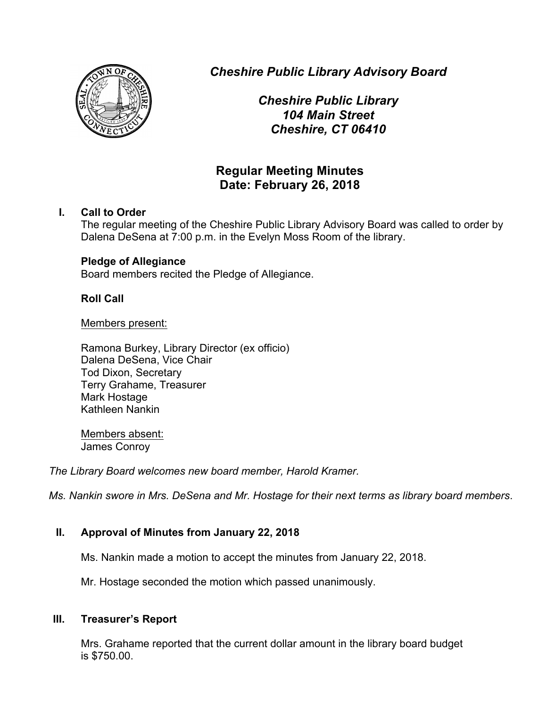

*Cheshire Public Library Advisory Board*

*Cheshire Public Library 104 Main Street Cheshire, CT 06410*

# **Regular Meeting Minutes Date: February 26, 2018**

## **I. Call to Order**

The regular meeting of the Cheshire Public Library Advisory Board was called to order by Dalena DeSena at 7:00 p.m. in the Evelyn Moss Room of the library.

## **Pledge of Allegiance**

Board members recited the Pledge of Allegiance.

## **Roll Call**

Members present:

Ramona Burkey, Library Director (ex officio) Dalena DeSena, Vice Chair Tod Dixon, Secretary Terry Grahame, Treasurer Mark Hostage Kathleen Nankin

Members absent: James Conroy

*The Library Board welcomes new board member, Harold Kramer.*

*Ms. Nankin swore in Mrs. DeSena and Mr. Hostage for their next terms as library board members*.

## **II. Approval of Minutes from January 22, 2018**

Ms. Nankin made a motion to accept the minutes from January 22, 2018.

Mr. Hostage seconded the motion which passed unanimously.

## **III. Treasurer's Report**

Mrs. Grahame reported that the current dollar amount in the library board budget is \$750.00.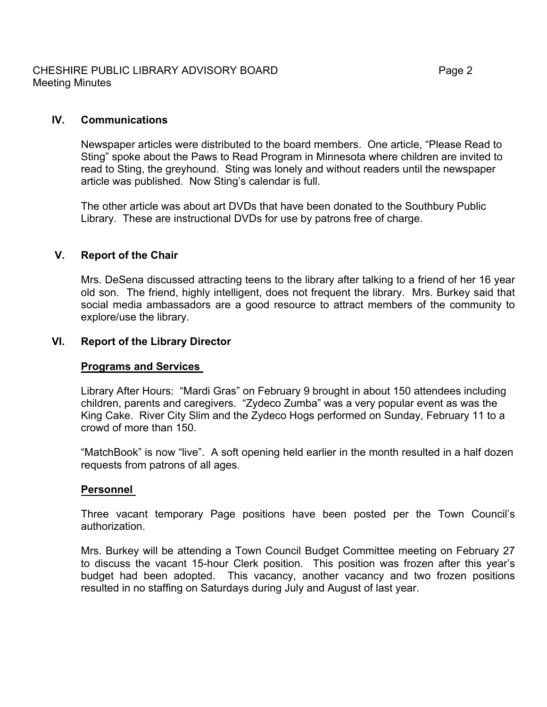## **IV. Communications**

Newspaper articles were distributed to the board members. One article, "Please Read to Sting" spoke about the Paws to Read Program in Minnesota where children are invited to read to Sting, the greyhound. Sting was lonely and without readers until the newspaper article was published. Now Sting's calendar is full.

The other article was about art DVDs that have been donated to the Southbury Public Library. These are instructional DVDs for use by patrons free of charge.

### **V. Report of the Chair**

Mrs. DeSena discussed attracting teens to the library after talking to a friend of her 16 year old son. The friend, highly intelligent, does not frequent the library. Mrs. Burkey said that social media ambassadors are a good resource to attract members of the community to explore/use the library.

### **VI. Report of the Library Director**

### **Programs and Services**

Library After Hours: "Mardi Gras" on February 9 brought in about 150 attendees including children, parents and caregivers. "Zydeco Zumba" was a very popular event as was the King Cake. River City Slim and the Zydeco Hogs performed on Sunday, February 11 to a crowd of more than 150.

"MatchBook" is now "live". A soft opening held earlier in the month resulted in a half dozen requests from patrons of all ages.

### **Personnel**

Three vacant temporary Page positions have been posted per the Town Council's authorization.

Mrs. Burkey will be attending a Town Council Budget Committee meeting on February 27 to discuss the vacant 15-hour Clerk position. This position was frozen after this year's budget had been adopted. This vacancy, another vacancy and two frozen positions resulted in no staffing on Saturdays during July and August of last year.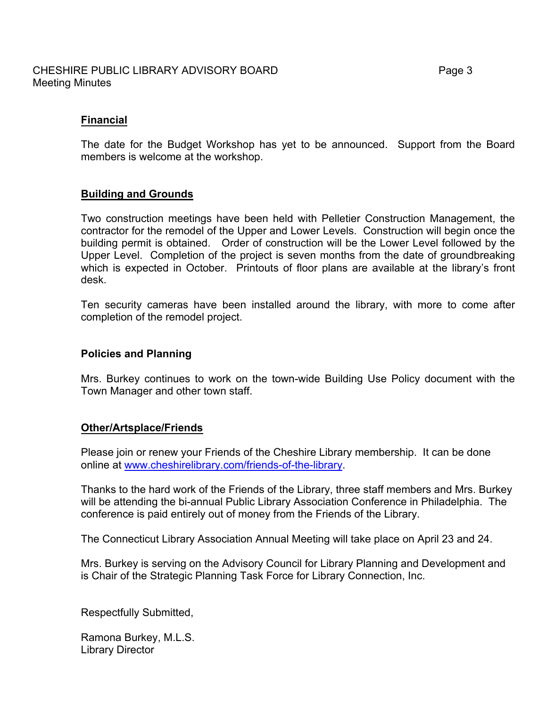#### CHESHIRE PUBLIC LIBRARY ADVISORY BOARD FRAGE 2004 12 Page 3 Meeting Minutes

### **Financial**

The date for the Budget Workshop has yet to be announced. Support from the Board members is welcome at the workshop.

#### **Building and Grounds**

Two construction meetings have been held with Pelletier Construction Management, the contractor for the remodel of the Upper and Lower Levels. Construction will begin once the building permit is obtained. Order of construction will be the Lower Level followed by the Upper Level. Completion of the project is seven months from the date of groundbreaking which is expected in October. Printouts of floor plans are available at the library's front desk.

Ten security cameras have been installed around the library, with more to come after completion of the remodel project.

#### **Policies and Planning**

Mrs. Burkey continues to work on the town-wide Building Use Policy document with the Town Manager and other town staff.

#### **Other/Artsplace/Friends**

Please join or renew your Friends of the Cheshire Library membership. It can be done online at www.cheshirelibrary.com/friends-of-the-library.

Thanks to the hard work of the Friends of the Library, three staff members and Mrs. Burkey will be attending the bi-annual Public Library Association Conference in Philadelphia. The conference is paid entirely out of money from the Friends of the Library.

The Connecticut Library Association Annual Meeting will take place on April 23 and 24.

Mrs. Burkey is serving on the Advisory Council for Library Planning and Development and is Chair of the Strategic Planning Task Force for Library Connection, Inc.

Respectfully Submitted,

Ramona Burkey, M.L.S. Library Director